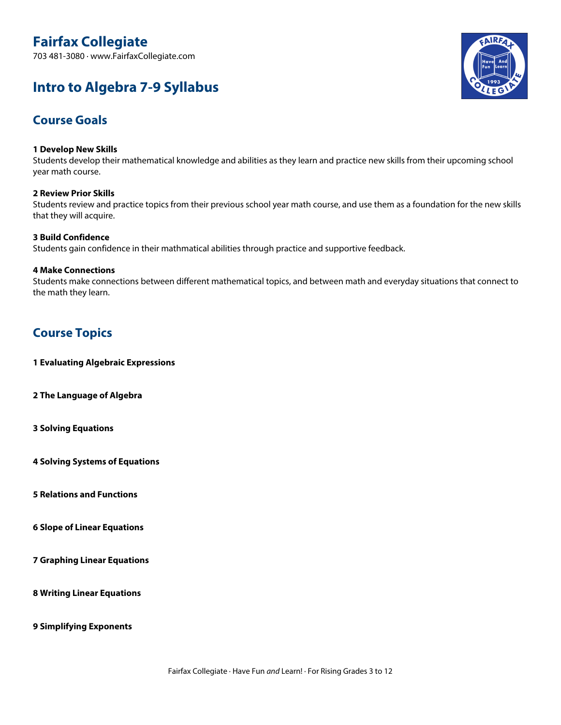# **Fairfax Collegiate**

703 481-3080 · www.FairfaxCollegiate.com

# **Intro to Algebra 7-9 Syllabus**



# **Course Goals**

#### **1 Develop New Skills**

Students develop their mathematical knowledge and abilities as they learn and practice new skills from their upcoming school year math course.

#### **2 Review Prior Skills**

Students review and practice topics from their previous school year math course, and use them as a foundation for the new skills that they will acquire.

#### **3 Build Confidence**

Students gain confidence in their mathmatical abilities through practice and supportive feedback.

#### **4 Make Connections**

Students make connections between different mathematical topics, and between math and everyday situations that connect to the math they learn.

# **Course Topics**

**1 Evaluating Algebraic Expressions**

**2 The Language of Algebra**

**3 Solving Equations**

**4 Solving Systems of Equations**

**5 Relations and Functions**

**6 Slope of Linear Equations**

**7 Graphing Linear Equations**

**8 Writing Linear Equations**

**9 Simplifying Exponents**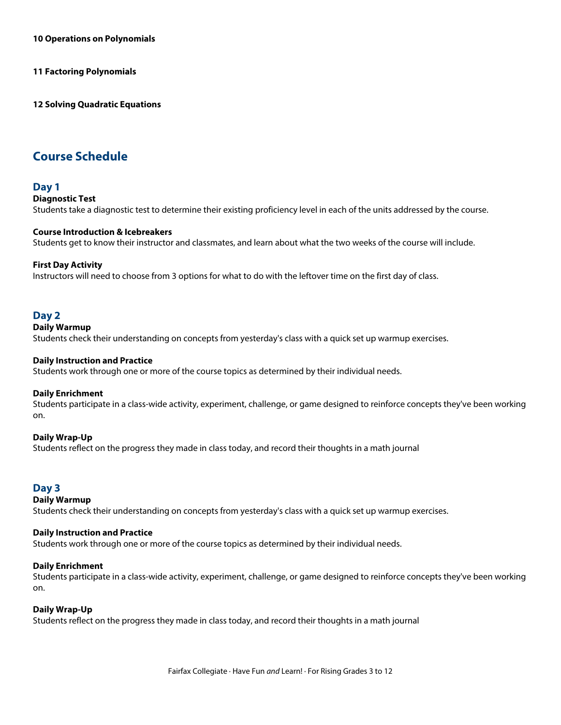**10 Operations on Polynomials**

**11 Factoring Polynomials**

**12 Solving Quadratic Equations**

# **Course Schedule**

#### **Day 1**

#### **Diagnostic Test**

Students take a diagnostic test to determine their existing proficiency level in each of the units addressed by the course.

#### **Course Introduction & Icebreakers**

Students get to know their instructor and classmates, and learn about what the two weeks of the course will include.

#### **First Day Activity**

Instructors will need to choose from 3 options for what to do with the leftover time on the first day of class.

#### **Day 2**

#### **Daily Warmup**

Students check their understanding on concepts from yesterday's class with a quick set up warmup exercises.

#### **Daily Instruction and Practice**

Students work through one or more of the course topics as determined by their individual needs.

#### **Daily Enrichment**

Students participate in a class-wide activity, experiment, challenge, or game designed to reinforce concepts they've been working on.

#### **Daily Wrap-Up**

Students reflect on the progress they made in class today, and record their thoughts in a math journal

## **Day 3**

#### **Daily Warmup**

Students check their understanding on concepts from yesterday's class with a quick set up warmup exercises.

#### **Daily Instruction and Practice**

Students work through one or more of the course topics as determined by their individual needs.

#### **Daily Enrichment**

Students participate in a class-wide activity, experiment, challenge, or game designed to reinforce concepts they've been working on.

#### **Daily Wrap-Up**

Students reflect on the progress they made in class today, and record their thoughts in a math journal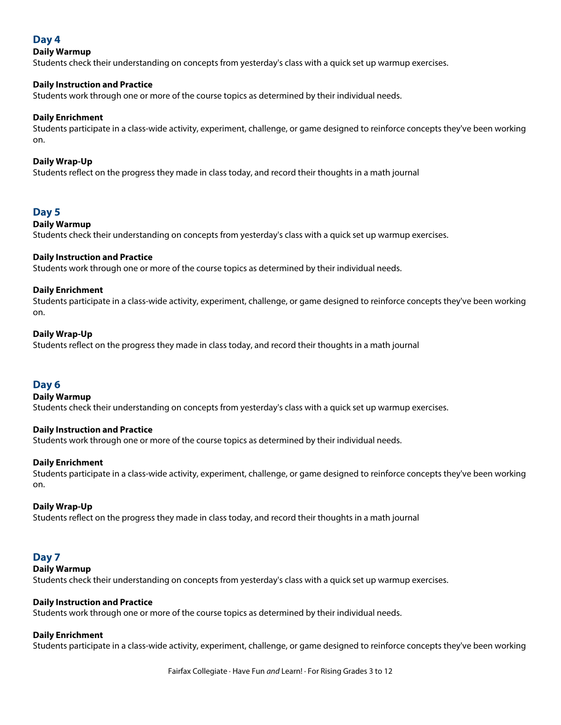# **Day 4**

#### **Daily Warmup**

Students check their understanding on concepts from yesterday's class with a quick set up warmup exercises.

#### **Daily Instruction and Practice**

Students work through one or more of the course topics as determined by their individual needs.

#### **Daily Enrichment**

Students participate in a class-wide activity, experiment, challenge, or game designed to reinforce concepts they've been working on.

#### **Daily Wrap-Up**

Students reflect on the progress they made in class today, and record their thoughts in a math journal

## **Day 5**

#### **Daily Warmup**

Students check their understanding on concepts from yesterday's class with a quick set up warmup exercises.

#### **Daily Instruction and Practice**

Students work through one or more of the course topics as determined by their individual needs.

#### **Daily Enrichment**

Students participate in a class-wide activity, experiment, challenge, or game designed to reinforce concepts they've been working on.

#### **Daily Wrap-Up**

Students reflect on the progress they made in class today, and record their thoughts in a math journal

## **Day 6**

#### **Daily Warmup**

Students check their understanding on concepts from yesterday's class with a quick set up warmup exercises.

#### **Daily Instruction and Practice**

Students work through one or more of the course topics as determined by their individual needs.

#### **Daily Enrichment**

Students participate in a class-wide activity, experiment, challenge, or game designed to reinforce concepts they've been working on.

#### **Daily Wrap-Up**

Students reflect on the progress they made in class today, and record their thoughts in a math journal

#### **Day 7**

#### **Daily Warmup**

Students check their understanding on concepts from yesterday's class with a quick set up warmup exercises.

#### **Daily Instruction and Practice**

Students work through one or more of the course topics as determined by their individual needs.

#### **Daily Enrichment**

Students participate in a class-wide activity, experiment, challenge, or game designed to reinforce concepts they've been working

Fairfax Collegiate · Have Fun *and* Learn! · For Rising Grades 3 to 12